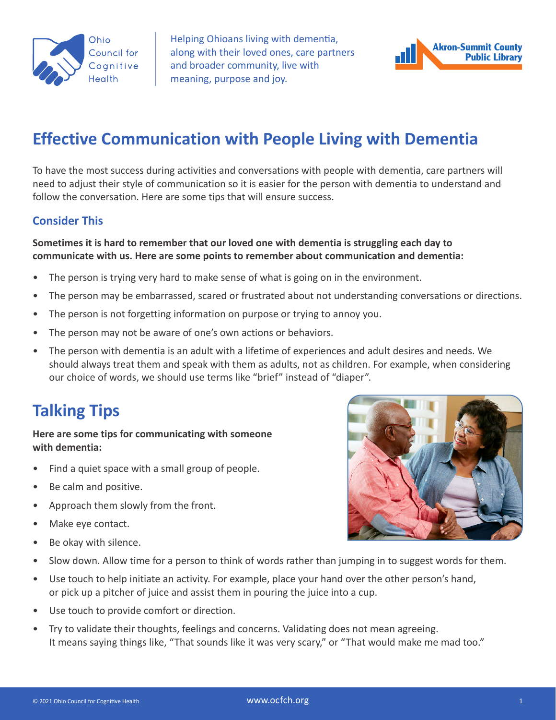

Helping Ohioans living with dementia, along with their loved ones, care partners and broader community, live with meaning, purpose and joy.



# **Effective Communication with People Living with Dementia**

To have the most success during activities and conversations with people with dementia, care partners will need to adjust their style of communication so it is easier for the person with dementia to understand and follow the conversation. Here are some tips that will ensure success.

### **Consider This**

### **Sometimes it is hard to remember that our loved one with dementia is struggling each day to communicate with us. Here are some points to remember about communication and dementia:**

- The person is trying very hard to make sense of what is going on in the environment.
- The person may be embarrassed, scared or frustrated about not understanding conversations or directions.
- The person is not forgetting information on purpose or trying to annoy you.
- The person may not be aware of one's own actions or behaviors.
- The person with dementia is an adult with a lifetime of experiences and adult desires and needs. We should always treat them and speak with them as adults, not as children. For example, when considering our choice of words, we should use terms like "brief" instead of "diaper".

## **Talking Tips**

#### **Here are some tips for communicating with someone with dementia:**

- Find a quiet space with a small group of people.
- Be calm and positive.
- Approach them slowly from the front.
- Make eye contact.
- Be okay with silence.



- Slow down. Allow time for a person to think of words rather than jumping in to suggest words for them.
- Use touch to help initiate an activity. For example, place your hand over the other person's hand, or pick up a pitcher of juice and assist them in pouring the juice into a cup.
- Use touch to provide comfort or direction.
- Try to validate their thoughts, feelings and concerns. Validating does not mean agreeing. It means saying things like, "That sounds like it was very scary," or "That would make me mad too."